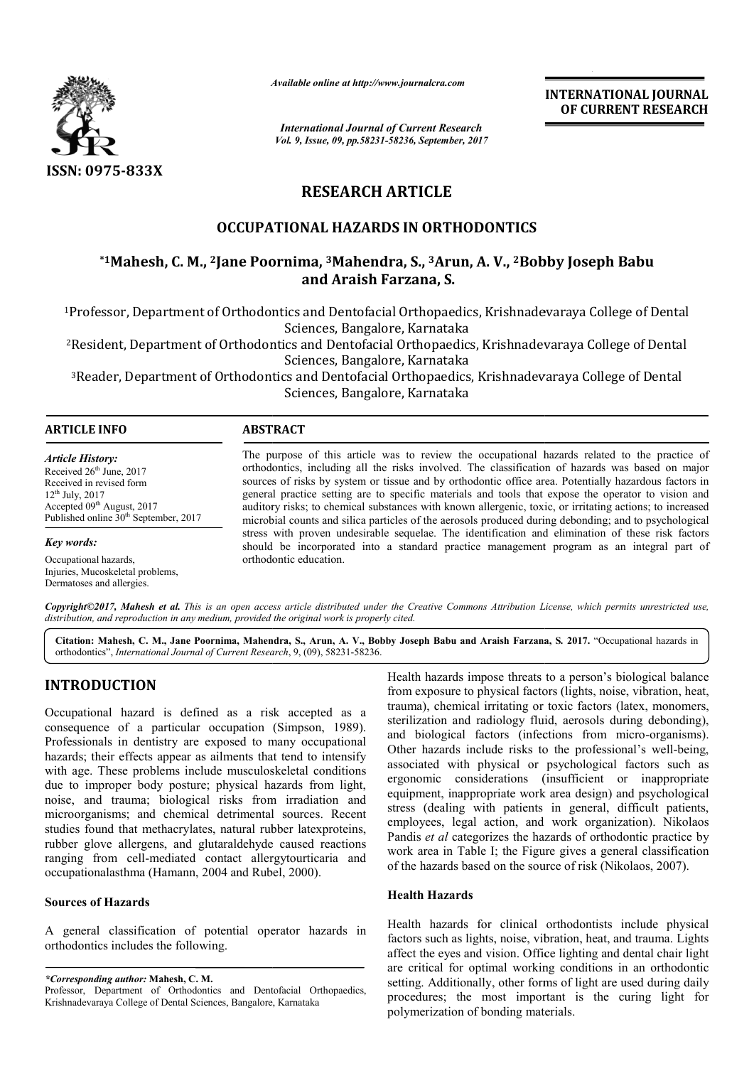

*Available online at http://www.journalcra.com*

*International Journal of Current Research Vol. 9, Issue, 09, pp.58231-58236, September, 2017* **INTERNATIONAL JOURNAL OF CURRENT RESEARCH**

# **RESEARCH ARTICLE**

# **OCCUPATIONAL HAZARDS IN ORTHODONTICS**

# **\*1Mahesh, C. M., 2Jane Poornima Jane Poornima, 3Mahendra, S., 3Arun, A. V., 2Bobby Joseph Babu Bobby Babuand Araish Farzana, S.**

1Professor, Department of Orthodontics and Dentofacial Orthopaedics, Krishnadevaraya College of Dental Professor, Sciences, Bangalore, Karnataka

<sup>2</sup>Resident, Department of Orthodontics and Dentofacial Orthopaedics, Krishnadevaraya College of Dental<br>Sciences, Bangalore, Karnataka

3Reader, Department of Orthodontics and Dentofacial Orthopaedics, Krishnadevaraya College of Dental Reader, Sciences, Bangalore, Karnataka

#### **ARTICLE INFO ABSTRACT**

*Article History:* Received 26<sup>th</sup> June, 2017 Received in revised form 12th July, 2017  $Accepted 09<sup>th</sup> August, 2017$ Published online  $30<sup>th</sup>$  September, 2017

*Key words:*

Occupational hazards, Injuries, Mucoskeletal problems, Dermatoses and allergies.

The purpose of this article was to review the occupational hazards related to the practice of orthodontics, including all the risks involved. The classification of hazards was based on major The purpose of this article was to review the occupational hazards related to the practice of orthodontics, including all the risks involved. The classification of hazards was based on major sources of risks by system or t general practice setting are to specific materials and tools that expose the operator to vision and auditory risks; to chemical substances with known allergenic, toxic, or irritating actions; to increased microbial counts and silica particles of the aerosols produced during debonding; and to psychological stress with proven undesirable sequelae. The identification and elimination of these risk factors should be incorporated into a standard practice management program as an integral part of orthodontic education. general practice setting are to specific materials and tools that expose the operator to vision and auditory risks; to chemical substances with known allergenic, toxic, or irritating actions; to increased microbial counts

Copyright©2017, Mahesh et al. This is an open access article distributed under the Creative Commons Attribution License, which permits unrestricted use, *distribution, and reproduction in any medium, provided the original work is properly cited.*

Citation: Mahesh, C. M., Jane Poornima, Mahendra, S., Arun, A. V., Bobby Joseph Babu and Araish Farzana, S. 2017. "Occupational hazards in orthodontics", *International Journal of Current Research* , 9, (09), 58231-58236.

# **INTRODUCTION**

Occupational hazard is defined as a risk accepted as a consequence of a particular occupation (Simpson, 1989). Professionals in dentistry are exposed to many occupational hazards; their effects appear as ailments that tend to intensify with age. These problems include musculoskeletal conditions due to improper body posture; physical hazards from light, noise, and trauma; biological risks from ir irradiation and microorganisms; and chemical detrimental sources. Recent studies found that methacrylates, natural rubber latexproteins, rubber glove allergens, and glutaraldehyde caused reactions ranging from cell-mediated contact allergytourticaria and occupationalasthma (Hamann, 2004 and Rubel Rubel, 2000).

## **Sources of Hazards**

A general classification of potential operator hazards in orthodontics includes the following.

*\*Corresponding author:* **Mahesh, C. M.** Professor, Department of Orthodontics and Dentofacial Orthopaedics, Krishnadevaraya College of Dental Sciences, Bangalore, Karnataka

Health hazards impose threats to a person's biological balance from exposure to physical factors (lights, noise, vibration, heat, Health hazards impose threats to a person's biological balance<br>from exposure to physical factors (lights, noise, vibration, heat,<br>trauma), chemical irritating or toxic factors (latex, monomers, sterilization and radiology fluid, aerosols during debonding), sterilization and radiology fluid, aerosols during debonding), and biological factors (infections from micro-organisms). Other hazards include risks to the professional's well-being, associated with physical or psychological factors such as ergonomic considerations (insufficient or inappropriate equipment, inappropriate work area design) and psychological stress (dealing with patients in general, difficult patients, employees, legal action, and work organization). Nikolaos Pandis *et al* categorizes the hazards of orthodontic practice by work area in Table I; the Figure gives a general classification of the hazards based on the source of risk (Nikolaos, 2007). considerations (insufficient or inappropriate variation appropriate work area design) and psychological<br>ng with patients in general, difficult patients, ndis *et al* categorizes the hazards of orthodontic practice<br>ork area in Table I; the Figure gives a general classifica<br>the hazards based on the source of risk (Nikolaos, 2007). **INTERNATIONAL JOUENAL CONDITIES (INTERNATIONAL SCRIPT RESEARCH CRIPT CONDUCT THE CRIPT CONDUCT CONDUCT CONDUCT CONDUCT CONDUCT CONDUCT CONDUCT CONDUCT CONDUCT CONDUCT CONDUCT CAN A V., 2 BOOB USE CONDUCT CONDUCT CAN EXTIN** 

## **Health Hazards**

Health hazards for clinical orthodontists include physical Health hazards for clinical orthodontists include physical factors such as lights, noise, vibration, heat, and trauma. Lights affect the eyes and vision. Office lighting and dental chair light are critical for optimal working conditions in an orthodontic setting. Additionally, other forms of light are used during daily procedures; the most important is the curing light for polymerization of bonding materials.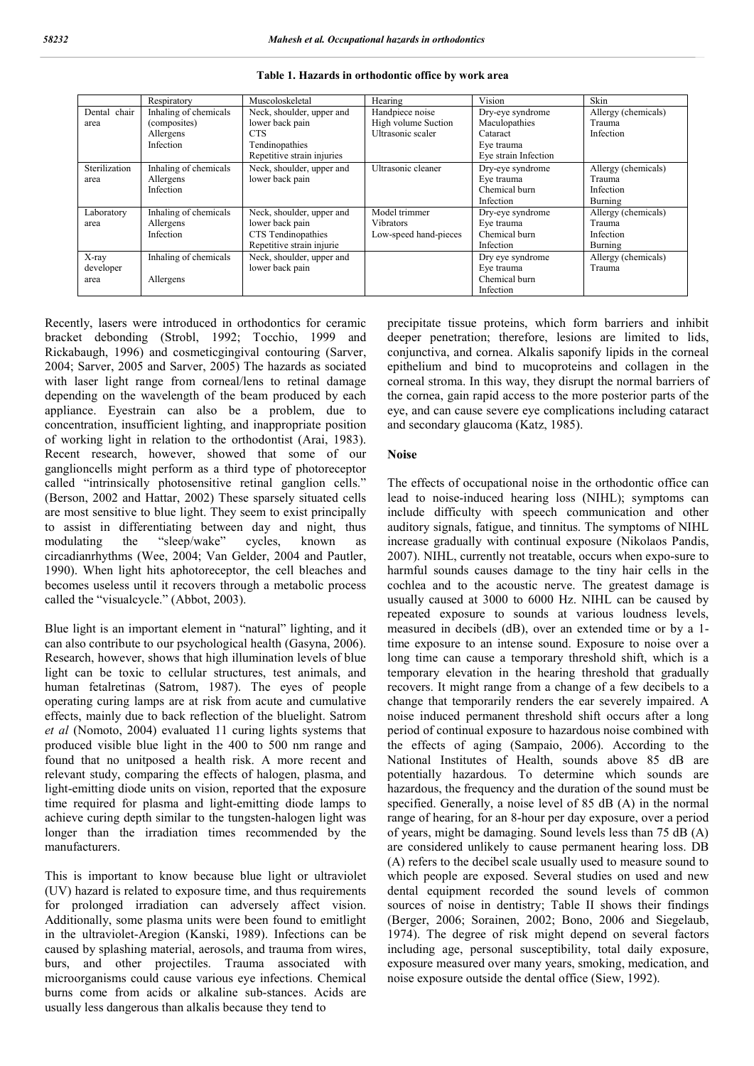|                 | Respiratory           | Muscoloskeletal            | Hearing               | Vision               | Skin                |
|-----------------|-----------------------|----------------------------|-----------------------|----------------------|---------------------|
| chair<br>Dental | Inhaling of chemicals | Neck, shoulder, upper and  | Handpiece noise       | Dry-eye syndrome     | Allergy (chemicals) |
| area            | (composites)          | lower back pain            | High volume Suction   | Maculopathies        | Trauma              |
|                 | Allergens             | <b>CTS</b>                 | Ultrasonic scaler     | Cataract             | Infection           |
|                 | Infection             | Tendinopathies             |                       | Eye trauma           |                     |
|                 |                       | Repetitive strain injuries |                       | Eye strain Infection |                     |
| Sterilization   | Inhaling of chemicals | Neck, shoulder, upper and  | Ultrasonic cleaner    | Dry-eye syndrome     | Allergy (chemicals) |
| area            | Allergens             | lower back pain            |                       | Eye trauma           | Trauma              |
|                 | Infection             |                            |                       | Chemical burn        | Infection           |
|                 |                       |                            |                       | Infection            | Burning             |
| Laboratory      | Inhaling of chemicals | Neck, shoulder, upper and  | Model trimmer         | Dry-eye syndrome     | Allergy (chemicals) |
| area            | Allergens             | lower back pain            | <b>Vibrators</b>      | Eye trauma           | Trauma              |
|                 | Infection             | CTS Tendinopathies         | Low-speed hand-pieces | Chemical burn        | Infection           |
|                 |                       | Repetitive strain injurie  |                       | Infection            | Burning             |
| $X$ -ray        | Inhaling of chemicals | Neck, shoulder, upper and  |                       | Dry eye syndrome     | Allergy (chemicals) |
| developer       |                       | lower back pain            |                       | Eye trauma           | Trauma              |
| area            | Allergens             |                            |                       | Chemical burn        |                     |
|                 |                       |                            |                       | Infection            |                     |

**Table 1. Hazards in orthodontic office by work area**

Recently, lasers were introduced in orthodontics for ceramic bracket debonding (Strobl, 1992; Tocchio, 1999 and Rickabaugh, 1996) and cosmeticgingival contouring (Sarver, 2004; Sarver, 2005 and Sarver, 2005) The hazards as sociated with laser light range from corneal/lens to retinal damage depending on the wavelength of the beam produced by each appliance. Eyestrain can also be a problem, due to concentration, insufficient lighting, and inappropriate position of working light in relation to the orthodontist (Arai, 1983). Recent research, however, showed that some of our ganglioncells might perform as a third type of photoreceptor called "intrinsically photosensitive retinal ganglion cells." (Berson, 2002 and Hattar, 2002) These sparsely situated cells are most sensitive to blue light. They seem to exist principally to assist in differentiating between day and night, thus modulating the "sleep/wake" cycles. known as modulating the "sleep/wake" cycles, known as circadianrhythms (Wee, 2004; Van Gelder, 2004 and Pautler, 1990). When light hits aphotoreceptor, the cell bleaches and becomes useless until it recovers through a metabolic process called the "visualcycle." (Abbot, 2003).

Blue light is an important element in "natural" lighting, and it can also contribute to our psychological health (Gasyna, 2006). Research, however, shows that high illumination levels of blue light can be toxic to cellular structures, test animals, and human fetalretinas (Satrom, 1987). The eyes of people operating curing lamps are at risk from acute and cumulative effects, mainly due to back reflection of the bluelight. Satrom *et al* (Nomoto, 2004) evaluated 11 curing lights systems that produced visible blue light in the 400 to 500 nm range and found that no unitposed a health risk. A more recent and relevant study, comparing the effects of halogen, plasma, and light-emitting diode units on vision, reported that the exposure time required for plasma and light-emitting diode lamps to achieve curing depth similar to the tungsten-halogen light was longer than the irradiation times recommended by the manufacturers.

This is important to know because blue light or ultraviolet (UV) hazard is related to exposure time, and thus requirements for prolonged irradiation can adversely affect vision. Additionally, some plasma units were been found to emitlight in the ultraviolet-Aregion (Kanski, 1989). Infections can be caused by splashing material, aerosols, and trauma from wires, burs, and other projectiles. Trauma associated with microorganisms could cause various eye infections. Chemical burns come from acids or alkaline sub-stances. Acids are usually less dangerous than alkalis because they tend to

precipitate tissue proteins, which form barriers and inhibit deeper penetration; therefore, lesions are limited to lids, conjunctiva, and cornea. Alkalis saponify lipids in the corneal epithelium and bind to mucoproteins and collagen in the corneal stroma. In this way, they disrupt the normal barriers of the cornea, gain rapid access to the more posterior parts of the eye, and can cause severe eye complications including cataract and secondary glaucoma (Katz, 1985).

## **Noise**

The effects of occupational noise in the orthodontic office can lead to noise-induced hearing loss (NIHL); symptoms can include difficulty with speech communication and other auditory signals, fatigue, and tinnitus. The symptoms of NIHL increase gradually with continual exposure (Nikolaos Pandis, 2007). NIHL, currently not treatable, occurs when expo-sure to harmful sounds causes damage to the tiny hair cells in the cochlea and to the acoustic nerve. The greatest damage is usually caused at 3000 to 6000 Hz. NIHL can be caused by repeated exposure to sounds at various loudness levels, measured in decibels (dB), over an extended time or by a 1 time exposure to an intense sound. Exposure to noise over a long time can cause a temporary threshold shift, which is a temporary elevation in the hearing threshold that gradually recovers. It might range from a change of a few decibels to a change that temporarily renders the ear severely impaired. A noise induced permanent threshold shift occurs after a long period of continual exposure to hazardous noise combined with the effects of aging (Sampaio, 2006). According to the National Institutes of Health, sounds above 85 dB are potentially hazardous. To determine which sounds are hazardous, the frequency and the duration of the sound must be specified. Generally, a noise level of 85 dB (A) in the normal range of hearing, for an 8-hour per day exposure, over a period of years, might be damaging. Sound levels less than 75 dB (A) are considered unlikely to cause permanent hearing loss. DB (A) refers to the decibel scale usually used to measure sound to which people are exposed. Several studies on used and new dental equipment recorded the sound levels of common sources of noise in dentistry; Table II shows their findings (Berger, 2006; Sorainen, 2002; Bono, 2006 and Siegelaub, 1974). The degree of risk might depend on several factors including age, personal susceptibility, total daily exposure, exposure measured over many years, smoking, medication, and noise exposure outside the dental office (Siew, 1992).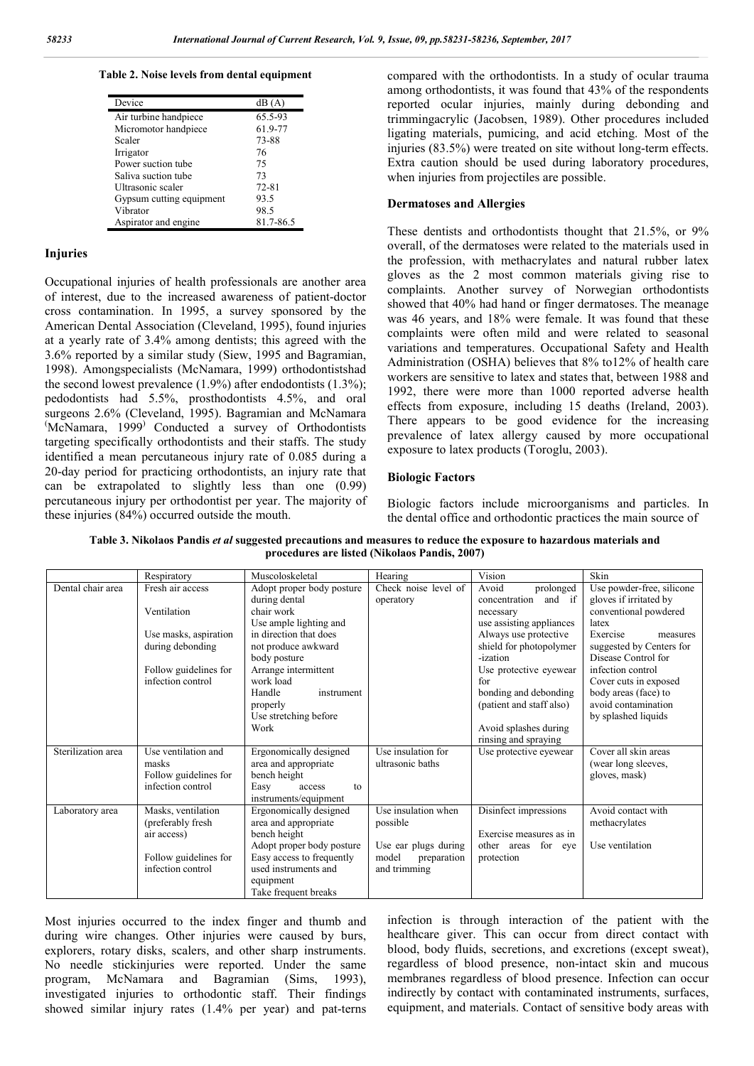#### **Table 2. Noise levels from dental equipment**

| Device                   | dB(A)     |
|--------------------------|-----------|
| Air turbine handpiece    | 65.5-93   |
| Micromotor handpiece     | 61.9-77   |
| Scaler                   | 73-88     |
| Irrigator                | 76        |
| Power suction tube       | 75        |
| Saliva suction tube      | 73        |
| Ultrasonic scaler        | $72 - 81$ |
| Gypsum cutting equipment | 93.5      |
| Vibrator                 | 98.5      |
| Aspirator and engine     | 81.7-86.5 |

## **Injuries**

Occupational injuries of health professionals are another area of interest, due to the increased awareness of patient-doctor cross contamination. In 1995, a survey sponsored by the American Dental Association (Cleveland, 1995), found injuries at a yearly rate of 3.4% among dentists; this agreed with the 3.6% reported by a similar study (Siew, 1995 and Bagramian, 1998). Amongspecialists (McNamara, 1999) orthodontistshad the second lowest prevalence (1.9%) after endodontists (1.3%); pedodontists had 5.5%, prosthodontists 4.5%, and oral surgeons 2.6% (Cleveland, 1995). Bagramian and McNamara ( McNamara, 1999) Conducted a survey of Orthodontists targeting specifically orthodontists and their staffs. The study identified a mean percutaneous injury rate of 0.085 during a 20-day period for practicing orthodontists, an injury rate that can be extrapolated to slightly less than one (0.99) percutaneous injury per orthodontist per year. The majority of these injuries (84%) occurred outside the mouth.

compared with the orthodontists. In a study of ocular trauma among orthodontists, it was found that 43% of the respondents reported ocular injuries, mainly during debonding and trimmingacrylic (Jacobsen, 1989). Other procedures included ligating materials, pumicing, and acid etching. Most of the injuries (83.5%) were treated on site without long-term effects. Extra caution should be used during laboratory procedures, when injuries from projectiles are possible.

## **Dermatoses and Allergies**

These dentists and orthodontists thought that 21.5%, or 9% overall, of the dermatoses were related to the materials used in the profession, with methacrylates and natural rubber latex gloves as the 2 most common materials giving rise to complaints. Another survey of Norwegian orthodontists showed that 40% had hand or finger dermatoses. The meanage was 46 years, and 18% were female. It was found that these complaints were often mild and were related to seasonal variations and temperatures. Occupational Safety and Health Administration (OSHA) believes that 8% to12% of health care workers are sensitive to latex and states that, between 1988 and 1992, there were more than 1000 reported adverse health effects from exposure, including 15 deaths (Ireland, 2003). There appears to be good evidence for the increasing prevalence of latex allergy caused by more occupational exposure to latex products (Toroglu, 2003).

## **Biologic Factors**

Biologic factors include microorganisms and particles. In the dental office and orthodontic practices the main source of

**Table 3. Nikolaos Pandis** *et al* **suggested precautions and measures to reduce the exposure to hazardous materials and procedures are listed (Nikolaos Pandis, 2007)**

|                    | Respiratory                                                                | Muscoloskeletal                                                                                                     | Hearing                                                      | Vision                                                   | Skin                                                                                        |
|--------------------|----------------------------------------------------------------------------|---------------------------------------------------------------------------------------------------------------------|--------------------------------------------------------------|----------------------------------------------------------|---------------------------------------------------------------------------------------------|
| Dental chair area  | Fresh air access                                                           | Adopt proper body posture<br>during dental                                                                          | Check noise level of<br>operatory                            | Avoid<br>prolonged<br>concentration<br>and if            | Use powder-free, silicone<br>gloves if irritated by                                         |
|                    | Ventilation                                                                | chair work<br>Use ample lighting and                                                                                |                                                              | necessary<br>use assisting appliances                    | conventional powdered<br>latex                                                              |
|                    | Use masks, aspiration<br>during debonding                                  | in direction that does<br>not produce awkward                                                                       |                                                              | Always use protective<br>shield for photopolymer         | Exercise<br>measures<br>suggested by Centers for                                            |
|                    | Follow guidelines for                                                      | body posture<br>Arrange intermittent                                                                                |                                                              | -ization<br>Use protective eyewear                       | Disease Control for<br>infection control                                                    |
|                    | infection control                                                          | work load<br>Handle<br>instrument<br>properly<br>Use stretching before                                              |                                                              | for<br>bonding and debonding<br>(patient and staff also) | Cover cuts in exposed<br>body areas (face) to<br>avoid contamination<br>by splashed liquids |
|                    |                                                                            | Work                                                                                                                |                                                              | Avoid splashes during<br>rinsing and spraying            |                                                                                             |
| Sterilization area | Use ventilation and<br>masks<br>Follow guidelines for<br>infection control | Ergonomically designed<br>area and appropriate<br>bench height<br>Easy<br>access<br>to<br>instruments/equipment     | Use insulation for<br>ultrasonic baths                       | Use protective eyewear                                   | Cover all skin areas<br>(wear long sleeves,<br>gloves, mask)                                |
| Laboratory area    | Masks, ventilation<br>(preferably fresh)<br>air access)                    | Ergonomically designed<br>area and appropriate<br>bench height                                                      | Use insulation when<br>possible                              | Disinfect impressions<br>Exercise measures as in         | Avoid contact with<br>methacrylates                                                         |
|                    | Follow guidelines for<br>infection control                                 | Adopt proper body posture<br>Easy access to frequently<br>used instruments and<br>equipment<br>Take frequent breaks | Use ear plugs during<br>model<br>preparation<br>and trimming | other areas for eye<br>protection                        | Use ventilation                                                                             |

Most injuries occurred to the index finger and thumb and during wire changes. Other injuries were caused by burs, explorers, rotary disks, scalers, and other sharp instruments. No needle stickinjuries were reported. Under the same program, McNamara and Bagramian (Sims, 1993), investigated injuries to orthodontic staff. Their findings showed similar injury rates (1.4% per year) and pat-terns

infection is through interaction of the patient with the healthcare giver. This can occur from direct contact with blood, body fluids, secretions, and excretions (except sweat), regardless of blood presence, non-intact skin and mucous membranes regardless of blood presence. Infection can occur indirectly by contact with contaminated instruments, surfaces, equipment, and materials. Contact of sensitive body areas with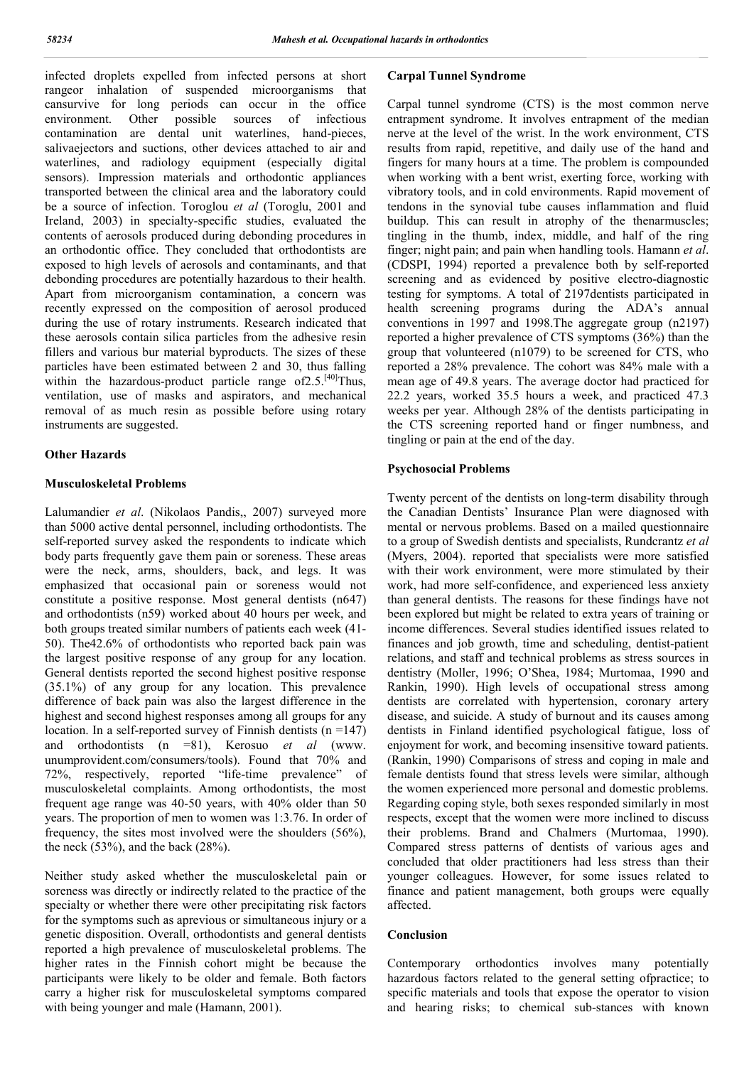infected droplets expelled from infected persons at short rangeor inhalation of suspended microorganisms that cansurvive for long periods can occur in the office environment. Other possible sources of infectious contamination are dental unit waterlines, hand-pieces, salivaejectors and suctions, other devices attached to air and waterlines, and radiology equipment (especially digital sensors). Impression materials and orthodontic appliances transported between the clinical area and the laboratory could be a source of infection. Toroglou *et al* (Toroglu, 2001 and Ireland, 2003) in specialty-specific studies, evaluated the contents of aerosols produced during debonding procedures in an orthodontic office. They concluded that orthodontists are exposed to high levels of aerosols and contaminants, and that debonding procedures are potentially hazardous to their health. Apart from microorganism contamination, a concern was recently expressed on the composition of aerosol produced during the use of rotary instruments. Research indicated that these aerosols contain silica particles from the adhesive resin fillers and various bur material byproducts. The sizes of these particles have been estimated between 2 and 30, thus falling within the hazardous-product particle range of 2.5.<sup>[40]</sup>Thus, ventilation, use of masks and aspirators, and mechanical removal of as much resin as possible before using rotary instruments are suggested.

## **Other Hazards**

## **Musculoskeletal Problems**

Lalumandier *et al*. (Nikolaos Pandis,, 2007) surveyed more than 5000 active dental personnel, including orthodontists. The self-reported survey asked the respondents to indicate which body parts frequently gave them pain or soreness. These areas were the neck, arms, shoulders, back, and legs. It was emphasized that occasional pain or soreness would not constitute a positive response. Most general dentists (n647) and orthodontists (n59) worked about 40 hours per week, and both groups treated similar numbers of patients each week (41- 50). The42.6% of orthodontists who reported back pain was the largest positive response of any group for any location. General dentists reported the second highest positive response (35.1%) of any group for any location. This prevalence difference of back pain was also the largest difference in the highest and second highest responses among all groups for any location. In a self-reported survey of Finnish dentists (n =147) and orthodontists (n =81), Kerosuo *et al* (www. unumprovident.com/consumers/tools). Found that 70% and 72%, respectively, reported "life-time prevalence" of musculoskeletal complaints. Among orthodontists, the most frequent age range was 40-50 years, with 40% older than 50 years. The proportion of men to women was 1:3.76. In order of frequency, the sites most involved were the shoulders (56%), the neck  $(53\%)$ , and the back  $(28\%)$ .

Neither study asked whether the musculoskeletal pain or soreness was directly or indirectly related to the practice of the specialty or whether there were other precipitating risk factors for the symptoms such as aprevious or simultaneous injury or a genetic disposition. Overall, orthodontists and general dentists reported a high prevalence of musculoskeletal problems. The higher rates in the Finnish cohort might be because the participants were likely to be older and female. Both factors carry a higher risk for musculoskeletal symptoms compared with being younger and male (Hamann, 2001).

## **Carpal Tunnel Syndrome**

Carpal tunnel syndrome (CTS) is the most common nerve entrapment syndrome. It involves entrapment of the median nerve at the level of the wrist. In the work environment, CTS results from rapid, repetitive, and daily use of the hand and fingers for many hours at a time. The problem is compounded when working with a bent wrist, exerting force, working with vibratory tools, and in cold environments. Rapid movement of tendons in the synovial tube causes inflammation and fluid buildup. This can result in atrophy of the thenarmuscles; tingling in the thumb, index, middle, and half of the ring finger; night pain; and pain when handling tools. Hamann *et al*. (CDSPI, 1994) reported a prevalence both by self-reported screening and as evidenced by positive electro-diagnostic testing for symptoms. A total of 2197dentists participated in health screening programs during the ADA's annual conventions in 1997 and 1998.The aggregate group (n2197) reported a higher prevalence of CTS symptoms (36%) than the group that volunteered (n1079) to be screened for CTS, who reported a 28% prevalence. The cohort was 84% male with a mean age of 49.8 years. The average doctor had practiced for 22.2 years, worked 35.5 hours a week, and practiced 47.3 weeks per year. Although 28% of the dentists participating in the CTS screening reported hand or finger numbness, and tingling or pain at the end of the day.

## **Psychosocial Problems**

Twenty percent of the dentists on long-term disability through the Canadian Dentists' Insurance Plan were diagnosed with mental or nervous problems. Based on a mailed questionnaire to a group of Swedish dentists and specialists, Rundcrantz *et al* (Myers, 2004). reported that specialists were more satisfied with their work environment, were more stimulated by their work, had more self-confidence, and experienced less anxiety than general dentists. The reasons for these findings have not been explored but might be related to extra years of training or income differences. Several studies identified issues related to finances and job growth, time and scheduling, dentist-patient relations, and staff and technical problems as stress sources in dentistry (Moller, 1996; O'Shea, 1984; Murtomaa, 1990 and Rankin, 1990). High levels of occupational stress among dentists are correlated with hypertension, coronary artery disease, and suicide. A study of burnout and its causes among dentists in Finland identified psychological fatigue, loss of enjoyment for work, and becoming insensitive toward patients. (Rankin, 1990) Comparisons of stress and coping in male and female dentists found that stress levels were similar, although the women experienced more personal and domestic problems. Regarding coping style, both sexes responded similarly in most respects, except that the women were more inclined to discuss their problems. Brand and Chalmers (Murtomaa, 1990). Compared stress patterns of dentists of various ages and concluded that older practitioners had less stress than their younger colleagues. However, for some issues related to finance and patient management, both groups were equally affected.

## **Conclusion**

Contemporary orthodontics involves many potentially hazardous factors related to the general setting ofpractice; to specific materials and tools that expose the operator to vision and hearing risks; to chemical sub-stances with known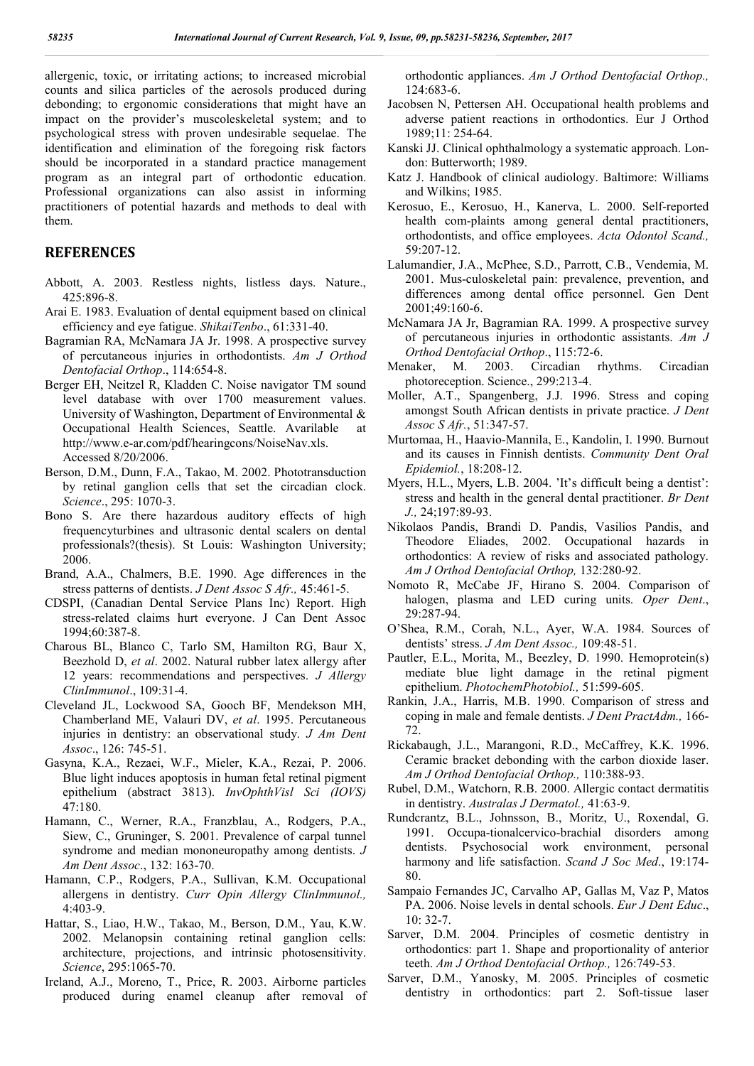allergenic, toxic, or irritating actions; to increased microbial counts and silica particles of the aerosols produced during debonding; to ergonomic considerations that might have an impact on the provider's muscoleskeletal system; and to psychological stress with proven undesirable sequelae. The identification and elimination of the foregoing risk factors should be incorporated in a standard practice management program as an integral part of orthodontic education. Professional organizations can also assist in informing practitioners of potential hazards and methods to deal with them.

## **REFERENCES**

- Abbott, A. 2003. Restless nights, listless days. Nature., 425:896-8.
- Arai E. 1983. Evaluation of dental equipment based on clinical efficiency and eye fatigue. *ShikaiTenbo*., 61:331-40.
- Bagramian RA, McNamara JA Jr. 1998. A prospective survey of percutaneous injuries in orthodontists. *Am J Orthod Dentofacial Orthop*., 114:654-8.
- Berger EH, Neitzel R, Kladden C. Noise navigator TM sound level database with over 1700 measurement values. University of Washington, Department of Environmental & Occupational Health Sciences, Seattle. Avarilable at http://www.e-ar.com/pdf/hearingcons/NoiseNav.xls. Accessed 8/20/2006.
- Berson, D.M., Dunn, F.A., Takao, M. 2002. Phototransduction by retinal ganglion cells that set the circadian clock. *Science*., 295: 1070-3.
- Bono S. Are there hazardous auditory effects of high frequencyturbines and ultrasonic dental scalers on dental professionals?(thesis). St Louis: Washington University; 2006.
- Brand, A.A., Chalmers, B.E. 1990. Age differences in the stress patterns of dentists. *J Dent Assoc S Afr.,* 45:461-5.
- CDSPI, (Canadian Dental Service Plans Inc) Report. High stress-related claims hurt everyone. J Can Dent Assoc 1994;60:387-8.
- Charous BL, Blanco C, Tarlo SM, Hamilton RG, Baur X, Beezhold D, *et al*. 2002. Natural rubber latex allergy after 12 years: recommendations and perspectives. *J Allergy ClinImmunol*., 109:31-4.
- Cleveland JL, Lockwood SA, Gooch BF, Mendekson MH, Chamberland ME, Valauri DV, *et al*. 1995. Percutaneous injuries in dentistry: an observational study. *J Am Dent Assoc*., 126: 745-51.
- Gasyna, K.A., Rezaei, W.F., Mieler, K.A., Rezai, P. 2006. Blue light induces apoptosis in human fetal retinal pigment epithelium (abstract 3813). *InvOphthVisl Sci (IOVS)* 47:180.
- Hamann, C., Werner, R.A., Franzblau, A., Rodgers, P.A., Siew, C., Gruninger, S. 2001. Prevalence of carpal tunnel syndrome and median mononeuropathy among dentists. *J Am Dent Assoc*., 132: 163-70.
- Hamann, C.P., Rodgers, P.A., Sullivan, K.M. Occupational allergens in dentistry. *Curr Opin Allergy ClinImmunol.,*  4:403-9.
- Hattar, S., Liao, H.W., Takao, M., Berson, D.M., Yau, K.W. 2002. Melanopsin containing retinal ganglion cells: architecture, projections, and intrinsic photosensitivity. *Science*, 295:1065-70.
- Ireland, A.J., Moreno, T., Price, R. 2003. Airborne particles produced during enamel cleanup after removal of

orthodontic appliances. *Am J Orthod Dentofacial Orthop.,* 124:683-6.

- Jacobsen N, Pettersen AH. Occupational health problems and adverse patient reactions in orthodontics. Eur J Orthod 1989;11: 254-64.
- Kanski JJ. Clinical ophthalmology a systematic approach. London: Butterworth; 1989.
- Katz J. Handbook of clinical audiology. Baltimore: Williams and Wilkins; 1985.
- Kerosuo, E., Kerosuo, H., Kanerva, L. 2000. Self-reported health com-plaints among general dental practitioners, orthodontists, and office employees. *Acta Odontol Scand.,* 59:207-12.
- Lalumandier, J.A., McPhee, S.D., Parrott, C.B., Vendemia, M. 2001. Mus-culoskeletal pain: prevalence, prevention, and differences among dental office personnel. Gen Dent 2001;49:160-6.
- McNamara JA Jr, Bagramian RA. 1999. A prospective survey of percutaneous injuries in orthodontic assistants. *Am J Orthod Dentofacial Orthop*., 115:72-6.
- Menaker, M. 2003. Circadian rhythms. Circadian photoreception. Science., 299:213-4.
- Moller, A.T., Spangenberg, J.J. 1996. Stress and coping amongst South African dentists in private practice. *J Dent Assoc S Afr.*, 51:347-57.
- Murtomaa, H., Haavio-Mannila, E., Kandolin, I. 1990. Burnout and its causes in Finnish dentists. *Community Dent Oral Epidemiol.*, 18:208-12.
- Myers, H.L., Myers, L.B. 2004. 'It's difficult being a dentist': stress and health in the general dental practitioner. *Br Dent J.,* 24;197:89-93.
- Nikolaos Pandis, Brandi D. Pandis, Vasilios Pandis, and Theodore Eliades, 2002. Occupational hazards in orthodontics: A review of risks and associated pathology. *Am J Orthod Dentofacial Orthop,* 132:280-92.
- Nomoto R, McCabe JF, Hirano S. 2004. Comparison of halogen, plasma and LED curing units. *Oper Dent*., 29:287-94.
- O'Shea, R.M., Corah, N.L., Ayer, W.A. 1984. Sources of dentists' stress. *J Am Dent Assoc.,* 109:48-51.
- Pautler, E.L., Morita, M., Beezley, D. 1990. Hemoprotein(s) mediate blue light damage in the retinal pigment epithelium. *PhotochemPhotobiol.,* 51:599-605.
- Rankin, J.A., Harris, M.B. 1990. Comparison of stress and coping in male and female dentists. *J Dent PractAdm.,* 166- 72.
- Rickabaugh, J.L., Marangoni, R.D., McCaffrey, K.K. 1996. Ceramic bracket debonding with the carbon dioxide laser. *Am J Orthod Dentofacial Orthop.,* 110:388-93.
- Rubel, D.M., Watchorn, R.B. 2000. Allergic contact dermatitis in dentistry. *Australas J Dermatol.,* 41:63-9.
- Rundcrantz, B.L., Johnsson, B., Moritz, U., Roxendal, G. 1991. Occupa-tionalcervico-brachial disorders among dentists. Psychosocial work environment, personal harmony and life satisfaction. *Scand J Soc Med*., 19:174- 80.
- Sampaio Fernandes JC, Carvalho AP, Gallas M, Vaz P, Matos PA. 2006. Noise levels in dental schools. *Eur J Dent Educ*., 10: 32-7.
- Sarver, D.M. 2004. Principles of cosmetic dentistry in orthodontics: part 1. Shape and proportionality of anterior teeth. *Am J Orthod Dentofacial Orthop.,* 126:749-53.
- Sarver, D.M., Yanosky, M. 2005. Principles of cosmetic dentistry in orthodontics: part 2. Soft-tissue laser